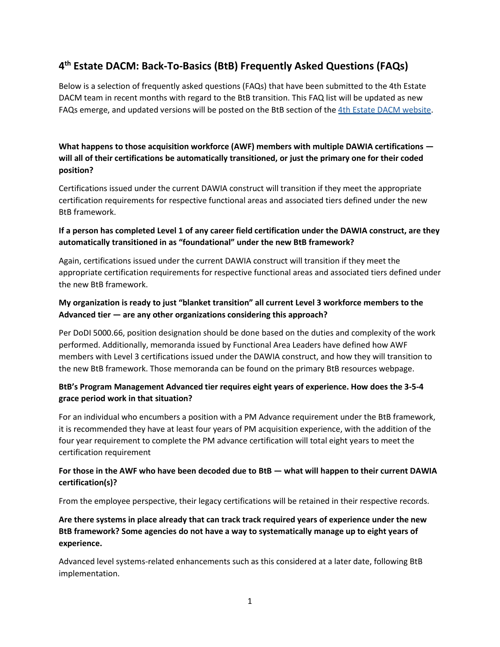# **4th Estate DACM: Back-To-Basics (BtB) Frequently Asked Questions (FAQs)**

Below is a selection of frequently asked questions (FAQs) that have been submitted to the 4th Estate DACM team in recent months with regard to the BtB transition. This FAQ list will be updated as new FAQs emerge, and updated versions will be posted on the BtB section of the [4th Estate DACM website.](https://4edacm.dau.edu/assets/DACM-December-2021-Newsletter.pdf)

**What happens to those acquisition workforce (AWF) members with multiple DAWIA certifications will all of their certifications be automatically transitioned, or just the primary one for their coded position?**

Certifications issued under the current DAWIA construct will transition if they meet the appropriate certification requirements for respective functional areas and associated tiers defined under the new BtB framework.

#### **If a person has completed Level 1 of any career field certification under the DAWIA construct, are they automatically transitioned in as "foundational" under the new BtB framework?**

Again, certifications issued under the current DAWIA construct will transition if they meet the appropriate certification requirements for respective functional areas and associated tiers defined under the new BtB framework.

#### **My organization is ready to just "blanket transition" all current Level 3 workforce members to the Advanced tier — are any other organizations considering this approach?**

Per DoDI 5000.66, position designation should be done based on the duties and complexity of the work performed. Additionally, memoranda issued by Functional Area Leaders have defined how AWF members with Level 3 certifications issued under the DAWIA construct, and how they will transition to the new BtB framework. Those memoranda can be found on the primary BtB resources webpage.

### **BtB's Program Management Advanced tier requires eight years of experience. How does the 3-5-4 grace period work in that situation?**

For an individual who encumbers a position with a PM Advance requirement under the BtB framework, it is recommended they have at least four years of PM acquisition experience, with the addition of the four year requirement to complete the PM advance certification will total eight years to meet the certification requirement

### **For those in the AWF who have been decoded due to BtB — what will happen to their current DAWIA certification(s)?**

From the employee perspective, their legacy certifications will be retained in their respective records.

**Are there systems in place already that can track track required years of experience under the new BtB framework? Some agencies do not have a way to systematically manage up to eight years of experience.**

Advanced level systems-related enhancements such as this considered at a later date, following BtB implementation.